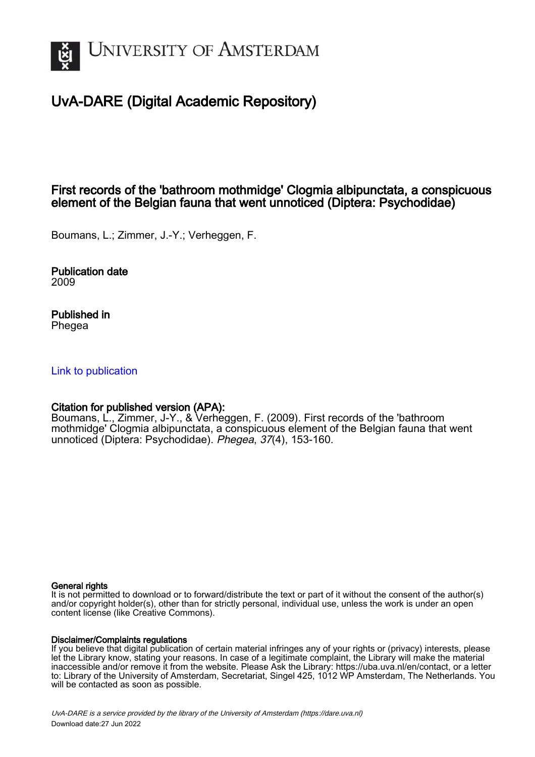

# UvA-DARE (Digital Academic Repository)

## First records of the 'bathroom mothmidge' Clogmia albipunctata, a conspicuous element of the Belgian fauna that went unnoticed (Diptera: Psychodidae)

Boumans, L.; Zimmer, J.-Y.; Verheggen, F.

Publication date 2009

Published in Phegea

## [Link to publication](https://dare.uva.nl/personal/pure/en/publications/first-records-of-the-bathroom-mothmidge-clogmia-albipunctata-a-conspicuous-element-of-the-belgian-fauna-that-went-unnoticed-diptera-psychodidae(609787d1-6d70-4128-bb76-d9b76a385f7d).html)

## Citation for published version (APA):

Boumans, L., Zimmer, J-Y., & Verheggen, F. (2009). First records of the 'bathroom mothmidge' Clogmia albipunctata, a conspicuous element of the Belgian fauna that went unnoticed (Diptera: Psychodidae). Phegea, 37(4), 153-160.

#### General rights

It is not permitted to download or to forward/distribute the text or part of it without the consent of the author(s) and/or copyright holder(s), other than for strictly personal, individual use, unless the work is under an open content license (like Creative Commons).

#### Disclaimer/Complaints regulations

If you believe that digital publication of certain material infringes any of your rights or (privacy) interests, please let the Library know, stating your reasons. In case of a legitimate complaint, the Library will make the material inaccessible and/or remove it from the website. Please Ask the Library: https://uba.uva.nl/en/contact, or a letter to: Library of the University of Amsterdam, Secretariat, Singel 425, 1012 WP Amsterdam, The Netherlands. You will be contacted as soon as possible.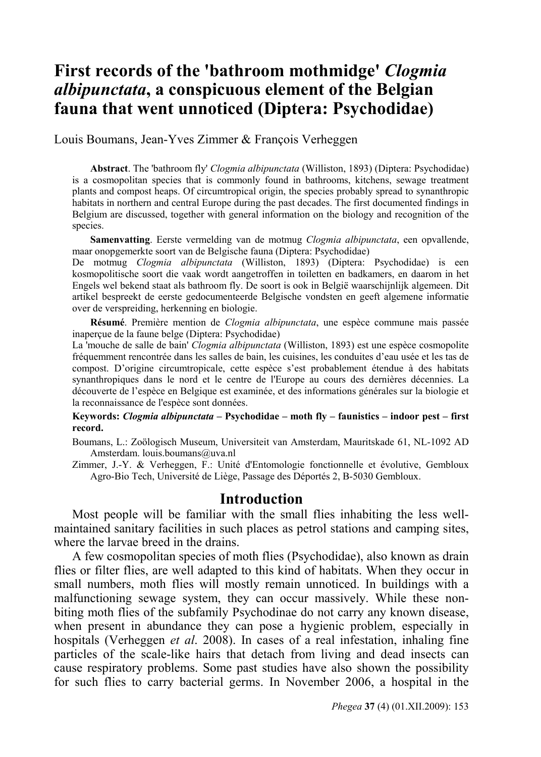## **First records of the 'bathroom mothmidge'** *Clogmia albipunctata***, a conspicuous element of the Belgian fauna that went unnoticed (Diptera: Psychodidae)**

Louis Boumans, Jean-Yves Zimmer & François Verheggen

**Abstract**. The 'bathroom fly' *Clogmia albipunctata* (Williston, 1893) (Diptera: Psychodidae) is a cosmopolitan species that is commonly found in bathrooms, kitchens, sewage treatment plants and compost heaps. Of circumtropical origin, the species probably spread to synanthropic habitats in northern and central Europe during the past decades. The first documented findings in Belgium are discussed, together with general information on the biology and recognition of the species.

**Samenvatting**. Eerste vermelding van de motmug *Clogmia albipunctata*, een opvallende, maar onopgemerkte soort van de Belgische fauna (Diptera: Psychodidae)

De motmug *Clogmia albipunctata* (Williston, 1893) (Diptera: Psychodidae) is een kosmopolitische soort die vaak wordt aangetroffen in toiletten en badkamers, en daarom in het Engels wel bekend staat als bathroom fly. De soort is ook in België waarschijnlijk algemeen. Dit artikel bespreekt de eerste gedocumenteerde Belgische vondsten en geeft algemene informatie over de verspreiding, herkenning en biologie.

**Résumé**. Première mention de *Clogmia albipunctata*, une espèce commune mais passée inaperçue de la faune belge (Diptera: Psychodidae)

La 'mouche de salle de bain' *Clogmia albipunctata* (Williston, 1893) est une espèce cosmopolite fréquemment rencontrée dans les salles de bain, les cuisines, les conduites d'eau usée et les tas de compost. D'origine circumtropicale, cette espèce s'est probablement étendue à des habitats synanthropiques dans le nord et le centre de l'Europe au cours des dernières décennies. La découverte de l'espèce en Belgique est examinée, et des informations générales sur la biologie et la reconnaissance de l'espèce sont données.

#### **Keywords:** *Clogmia albipunctata* **– Psychodidae – moth fly – faunistics – indoor pest – first record.**

Boumans, L.: Zoölogisch Museum, Universiteit van Amsterdam, Mauritskade 61, NL-1092 AD Amsterdam. louis.boumans@uva.nl

Zimmer, J.-Y. & Verheggen, F.: Unité d'Entomologie fonctionnelle et évolutive, Gembloux Agro-Bio Tech, Université de Liège, Passage des Déportés 2, B-5030 Gembloux.

#### **Introduction**

Most people will be familiar with the small flies inhabiting the less wellmaintained sanitary facilities in such places as petrol stations and camping sites, where the larvae breed in the drains.

A few cosmopolitan species of moth flies (Psychodidae), also known as drain flies or filter flies, are well adapted to this kind of habitats. When they occur in small numbers, moth flies will mostly remain unnoticed. In buildings with a malfunctioning sewage system, they can occur massively. While these nonbiting moth flies of the subfamily Psychodinae do not carry any known disease, when present in abundance they can pose a hygienic problem, especially in hospitals (Verheggen *et al*. 2008). In cases of a real infestation, inhaling fine particles of the scale-like hairs that detach from living and dead insects can cause respiratory problems. Some past studies have also shown the possibility for such flies to carry bacterial germs. In November 2006, a hospital in the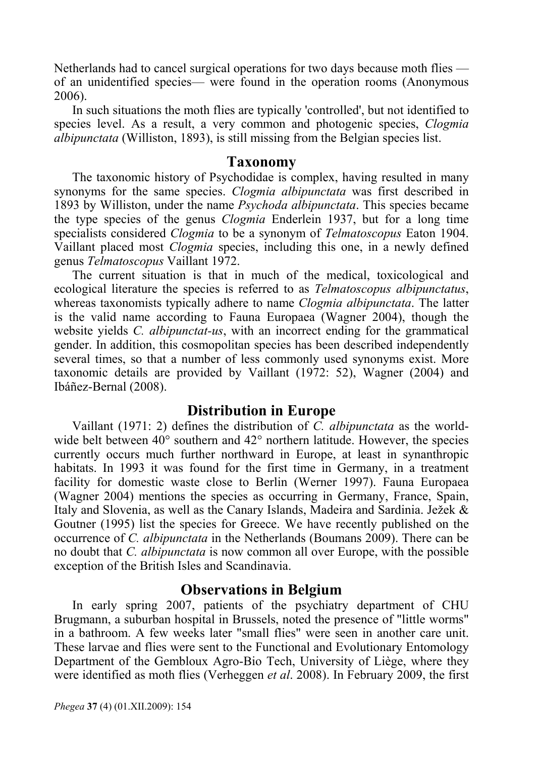Netherlands had to cancel surgical operations for two days because moth flies of an unidentified species— were found in the operation rooms (Anonymous 2006).

In such situations the moth flies are typically 'controlled', but not identified to species level. As a result, a very common and photogenic species, *Clogmia albipunctata* (Williston, 1893), is still missing from the Belgian species list.

#### **Taxonomy**

The taxonomic history of Psychodidae is complex, having resulted in many synonyms for the same species. *Clogmia albipunctata* was first described in 1893 by Williston, under the name *Psychoda albipunctata*. This species became the type species of the genus *Clogmia* Enderlein 1937, but for a long time specialists considered *Clogmia* to be a synonym of *Telmatoscopus* Eaton 1904. Vaillant placed most *Clogmia* species, including this one, in a newly defined genus *Telmatoscopus* Vaillant 1972.

The current situation is that in much of the medical, toxicological and ecological literature the species is referred to as *Telmatoscopus albipunctatus*, whereas taxonomists typically adhere to name *Clogmia albipunctata*. The latter is the valid name according to Fauna Europaea (Wagner 2004), though the website yields *C. albipunctat-us*, with an incorrect ending for the grammatical gender. In addition, this cosmopolitan species has been described independently several times, so that a number of less commonly used synonyms exist. More taxonomic details are provided by Vaillant (1972: 52), Wagner (2004) and Ibáñez-Bernal (2008).

### **Distribution in Europe**

Vaillant (1971: 2) defines the distribution of *C. albipunctata* as the worldwide belt between  $40^{\circ}$  southern and  $42^{\circ}$  northern latitude. However, the species currently occurs much further northward in Europe, at least in synanthropic habitats. In 1993 it was found for the first time in Germany, in a treatment facility for domestic waste close to Berlin (Werner 1997). Fauna Europaea (Wagner 2004) mentions the species as occurring in Germany, France, Spain, Italy and Slovenia, as well as the Canary Islands, Madeira and Sardinia. Ježek & Goutner (1995) list the species for Greece. We have recently published on the occurrence of *C. albipunctata* in the Netherlands (Boumans 2009). There can be no doubt that *C. albipunctata* is now common all over Europe, with the possible exception of the British Isles and Scandinavia.

#### **Observations in Belgium**

In early spring 2007, patients of the psychiatry department of CHU Brugmann, a suburban hospital in Brussels, noted the presence of "little worms" in a bathroom. A few weeks later "small flies" were seen in another care unit. These larvae and flies were sent to the Functional and Evolutionary Entomology Department of the Gembloux Agro-Bio Tech, University of Liège, where they were identified as moth flies (Verheggen *et al*. 2008). In February 2009, the first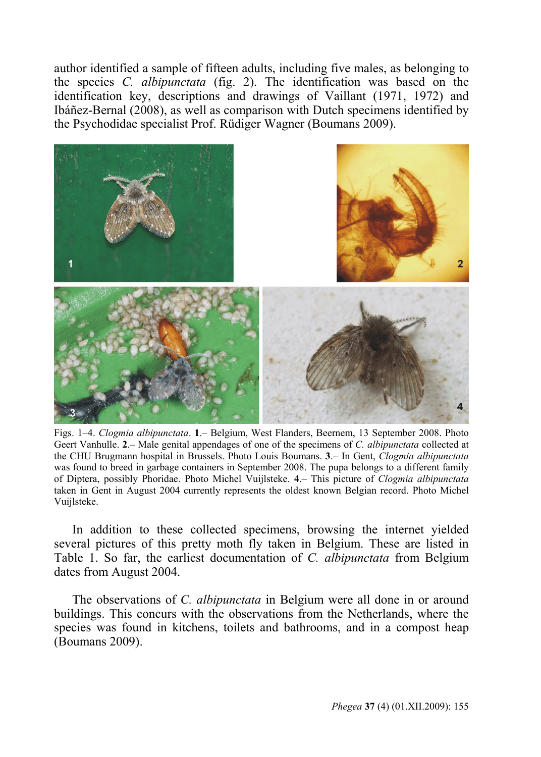author identified a sample of fifteen adults, including five males, as belonging to the species *C. albipunctata* (fig. 2). The identification was based on the identification key, descriptions and drawings of Vaillant (1971, 1972) and Ibáñez-Bernal (2008), as well as comparison with Dutch specimens identified by the Psychodidae specialist Prof. Rüdiger Wagner (Boumans 2009).



Figs. 1–4. *Clogmia albipunctata*. **1**.– Belgium, West Flanders, Beernem, 13 September 2008. Photo Geert Vanhulle. **2**.– Male genital appendages of one of the specimens of *C. albipunctata* collected at the CHU Brugmann hospital in Brussels. Photo Louis Boumans. **3**.– In Gent, *Clogmia albipunctata* was found to breed in garbage containers in September 2008. The pupa belongs to a different family of Diptera, possibly Phoridae. Photo Michel Vuijlsteke. **4**.– This picture of *Clogmia albipunctata* taken in Gent in August 2004 currently represents the oldest known Belgian record. Photo Michel Vuijlsteke.

In addition to these collected specimens, browsing the internet yielded several pictures of this pretty moth fly taken in Belgium. These are listed in Table 1. So far, the earliest documentation of *C. albipunctata* from Belgium dates from August 2004.

The observations of *C. albipunctata* in Belgium were all done in or around buildings. This concurs with the observations from the Netherlands, where the species was found in kitchens, toilets and bathrooms, and in a compost heap (Boumans 2009).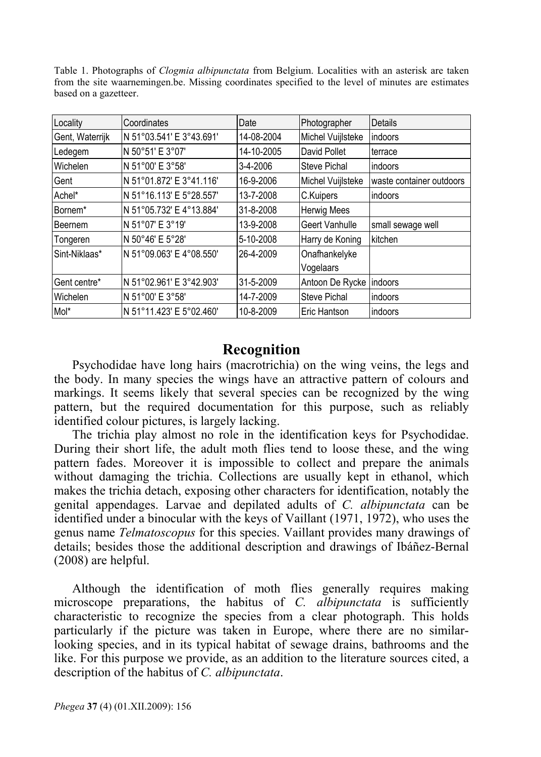Table 1. Photographs of *Clogmia albipunctata* from Belgium. Localities with an asterisk are taken from the site waarnemingen.be. Missing coordinates specified to the level of minutes are estimates based on a gazetteer.

| Locality            | Coordinates              | Date       | Photographer       | Details                  |
|---------------------|--------------------------|------------|--------------------|--------------------------|
| Gent, Waterrijk     | N 51°03.541' E 3°43.691' | 14-08-2004 | Michel Vuijlsteke  | indoors                  |
| Ledegem             | N 50°51' E 3°07'         | 14-10-2005 | David Pollet       | terrace                  |
| Wichelen            | N 51°00' E 3°58'         | 3-4-2006   | Steve Pichal       | indoors                  |
| Gent                | N 51°01.872' E 3°41.116' | 16-9-2006  | Michel Vuijlsteke  | waste container outdoors |
| Achel*              | N 51°16.113' E 5°28.557' | 13-7-2008  | C.Kuipers          | indoors                  |
| Bornem <sup>*</sup> | N 51°05.732' E 4°13.884' | 31-8-2008  | <b>Herwig Mees</b> |                          |
| Beernem             | N 51°07' E 3°19'         | 13-9-2008  | Geert Vanhulle     | small sewage well        |
| Tongeren            | N 50°46' E 5°28'         | 5-10-2008  | Harry de Koning    | kitchen                  |
| Sint-Niklaas*       | N 51°09.063' E 4°08.550' | 26-4-2009  | Onafhankelyke      |                          |
|                     |                          |            | Vogelaars          |                          |
| Gent centre*        | N 51°02.961' E 3°42.903' | 31-5-2009  | Antoon De Rycke    | indoors                  |
| Wichelen            | N 51°00' E 3°58'         | 14-7-2009  | Steve Pichal       | indoors                  |
| Mol <sup>*</sup>    | N 51°11.423' E 5°02.460' | 10-8-2009  | Eric Hantson       | indoors                  |

### **Recognition**

Psychodidae have long hairs (macrotrichia) on the wing veins, the legs and the body. In many species the wings have an attractive pattern of colours and markings. It seems likely that several species can be recognized by the wing pattern, but the required documentation for this purpose, such as reliably identified colour pictures, is largely lacking.

The trichia play almost no role in the identification keys for Psychodidae. During their short life, the adult moth flies tend to loose these, and the wing pattern fades. Moreover it is impossible to collect and prepare the animals without damaging the trichia. Collections are usually kept in ethanol, which makes the trichia detach, exposing other characters for identification, notably the genital appendages. Larvae and depilated adults of *C. albipunctata* can be identified under a binocular with the keys of Vaillant (1971, 1972), who uses the genus name *Telmatoscopus* for this species. Vaillant provides many drawings of details; besides those the additional description and drawings of Ibáñez-Bernal (2008) are helpful.

Although the identification of moth flies generally requires making microscope preparations, the habitus of *C. albipunctata* is sufficiently characteristic to recognize the species from a clear photograph. This holds particularly if the picture was taken in Europe, where there are no similarlooking species, and in its typical habitat of sewage drains, bathrooms and the like. For this purpose we provide, as an addition to the literature sources cited, a description of the habitus of *C. albipunctata*.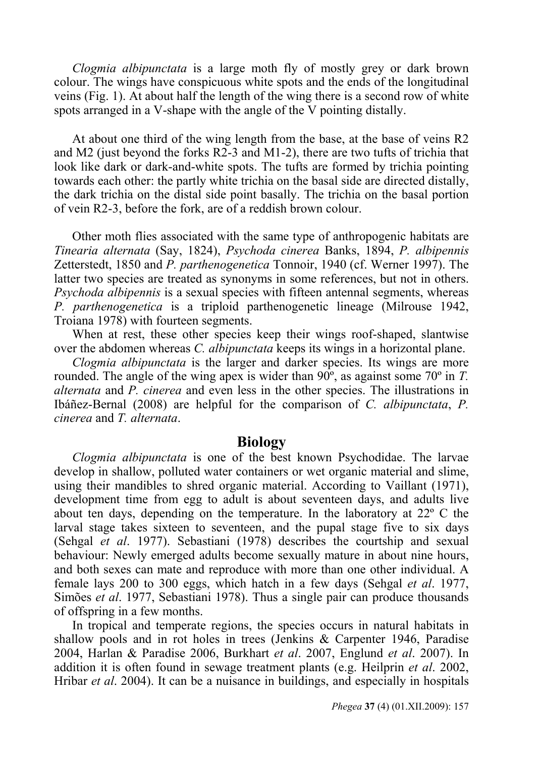*Clogmia albipunctata* is a large moth fly of mostly grey or dark brown colour. The wings have conspicuous white spots and the ends of the longitudinal veins (Fig. 1). At about half the length of the wing there is a second row of white spots arranged in a V-shape with the angle of the V pointing distally.

At about one third of the wing length from the base, at the base of veins R2 and M2 (just beyond the forks R2-3 and M1-2), there are two tufts of trichia that look like dark or dark-and-white spots. The tufts are formed by trichia pointing towards each other: the partly white trichia on the basal side are directed distally, the dark trichia on the distal side point basally. The trichia on the basal portion of vein R2-3, before the fork, are of a reddish brown colour.

Other moth flies associated with the same type of anthropogenic habitats are *Tinearia alternata* (Say, 1824), *Psychoda cinerea* Banks, 1894, *P. albipennis* Zetterstedt, 1850 and *P. parthenogenetica* Tonnoir, 1940 (cf. Werner 1997). The latter two species are treated as synonyms in some references, but not in others. *Psychoda albipennis* is a sexual species with fifteen antennal segments, whereas *P. parthenogenetica* is a triploid parthenogenetic lineage (Milrouse 1942, Troiana 1978) with fourteen segments.

When at rest, these other species keep their wings roof-shaped, slantwise over the abdomen whereas *C. albipunctata* keeps its wings in a horizontal plane.

*Clogmia albipunctata* is the larger and darker species. Its wings are more rounded. The angle of the wing apex is wider than 90º, as against some 70º in *T. alternata* and *P. cinerea* and even less in the other species. The illustrations in Ibáñez-Bernal (2008) are helpful for the comparison of *C. albipunctata*, *P. cinerea* and *T. alternata*.

#### **Biology**

*Clogmia albipunctata* is one of the best known Psychodidae. The larvae develop in shallow, polluted water containers or wet organic material and slime, using their mandibles to shred organic material. According to Vaillant (1971), development time from egg to adult is about seventeen days, and adults live about ten days, depending on the temperature. In the laboratory at 22º C the larval stage takes sixteen to seventeen, and the pupal stage five to six days (Sehgal *et al*. 1977). Sebastiani (1978) describes the courtship and sexual behaviour: Newly emerged adults become sexually mature in about nine hours, and both sexes can mate and reproduce with more than one other individual. A female lays 200 to 300 eggs, which hatch in a few days (Sehgal *et al*. 1977, Simões *et al*. 1977, Sebastiani 1978). Thus a single pair can produce thousands of offspring in a few months.

In tropical and temperate regions, the species occurs in natural habitats in shallow pools and in rot holes in trees (Jenkins & Carpenter 1946, Paradise 2004, Harlan & Paradise 2006, Burkhart *et al*. 2007, Englund *et al*. 2007). In addition it is often found in sewage treatment plants (e.g. Heilprin *et al*. 2002, Hribar *et al*. 2004). It can be a nuisance in buildings, and especially in hospitals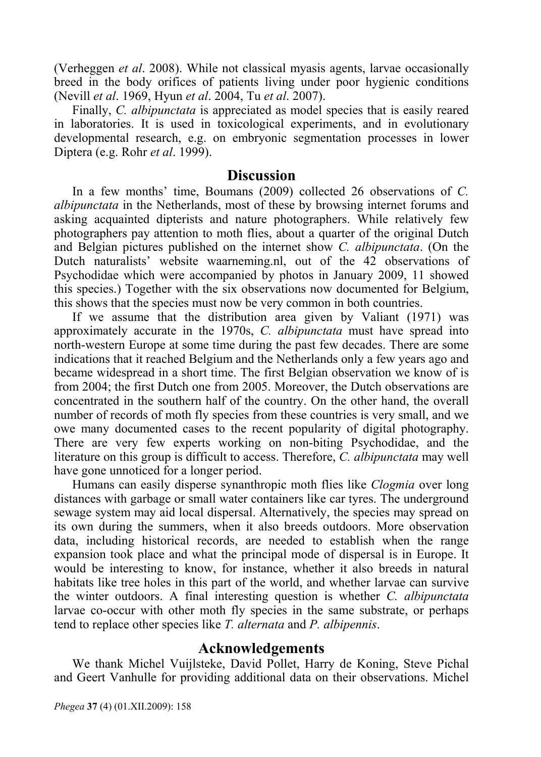(Verheggen *et al*. 2008). While not classical myasis agents, larvae occasionally breed in the body orifices of patients living under poor hygienic conditions (Nevill *et al*. 1969, Hyun *et al*. 2004, Tu *et al*. 2007).

Finally, *C. albipunctata* is appreciated as model species that is easily reared in laboratories. It is used in toxicological experiments, and in evolutionary developmental research, e.g. on embryonic segmentation processes in lower Diptera (e.g. Rohr *et al*. 1999).

#### **Discussion**

In a few months' time, Boumans (2009) collected 26 observations of *C. albipunctata* in the Netherlands, most of these by browsing internet forums and asking acquainted dipterists and nature photographers. While relatively few photographers pay attention to moth flies, about a quarter of the original Dutch and Belgian pictures published on the internet show *C. albipunctata*. (On the Dutch naturalists' website waarneming.nl, out of the 42 observations of Psychodidae which were accompanied by photos in January 2009, 11 showed this species.) Together with the six observations now documented for Belgium, this shows that the species must now be very common in both countries.

If we assume that the distribution area given by Valiant (1971) was approximately accurate in the 1970s, *C. albipunctata* must have spread into north-western Europe at some time during the past few decades. There are some indications that it reached Belgium and the Netherlands only a few years ago and became widespread in a short time. The first Belgian observation we know of is from 2004; the first Dutch one from 2005. Moreover, the Dutch observations are concentrated in the southern half of the country. On the other hand, the overall number of records of moth fly species from these countries is very small, and we owe many documented cases to the recent popularity of digital photography. There are very few experts working on non-biting Psychodidae, and the literature on this group is difficult to access. Therefore, *C. albipunctata* may well have gone unnoticed for a longer period.

Humans can easily disperse synanthropic moth flies like *Clogmia* over long distances with garbage or small water containers like car tyres. The underground sewage system may aid local dispersal. Alternatively, the species may spread on its own during the summers, when it also breeds outdoors. More observation data, including historical records, are needed to establish when the range expansion took place and what the principal mode of dispersal is in Europe. It would be interesting to know, for instance, whether it also breeds in natural habitats like tree holes in this part of the world, and whether larvae can survive the winter outdoors. A final interesting question is whether *C. albipunctata* larvae co-occur with other moth fly species in the same substrate, or perhaps tend to replace other species like *T. alternata* and *P. albipennis*.

#### **Acknowledgements**

We thank Michel Vuijlsteke, David Pollet, Harry de Koning, Steve Pichal and Geert Vanhulle for providing additional data on their observations. Michel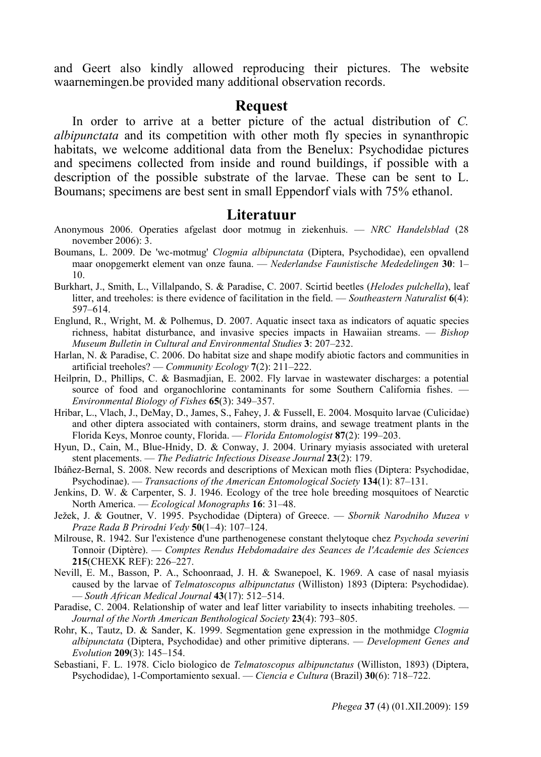and Geert also kindly allowed reproducing their pictures. The website waarnemingen.be provided many additional observation records.

#### **Request**

In order to arrive at a better picture of the actual distribution of *C. albipunctata* and its competition with other moth fly species in synanthropic habitats, we welcome additional data from the Benelux: Psychodidae pictures and specimens collected from inside and round buildings, if possible with a description of the possible substrate of the larvae. These can be sent to L. Boumans; specimens are best sent in small Eppendorf vials with 75% ethanol.

#### **Literatuur**

- Anonymous 2006. Operaties afgelast door motmug in ziekenhuis. *NRC Handelsblad* (28 november 2006): 3.
- Boumans, L. 2009. De 'wc-motmug' *Clogmia albipunctata* (Diptera, Psychodidae), een opvallend maar onopgemerkt element van onze fauna. — *Nederlandse Faunistische Mededelingen* **30**: 1– 10.
- Burkhart, J., Smith, L., Villalpando, S. & Paradise, C. 2007. Scirtid beetles (*Helodes pulchella*), leaf litter, and treeholes: is there evidence of facilitation in the field. — *Southeastern Naturalist* **6**(4): 597–614.
- Englund, R., Wright, M. & Polhemus, D. 2007. Aquatic insect taxa as indicators of aquatic species richness, habitat disturbance, and invasive species impacts in Hawaiian streams. — *Bishop Museum Bulletin in Cultural and Environmental Studies* **3**: 207–232.
- Harlan, N. & Paradise, C. 2006. Do habitat size and shape modify abiotic factors and communities in artificial treeholes? — *Community Ecology* **7**(2): 211–222.
- Heilprin, D., Phillips, C. & Basmadjian, E. 2002. Fly larvae in wastewater discharges: a potential source of food and organochlorine contaminants for some Southern California fishes. — *Environmental Biology of Fishes* **65**(3): 349–357.
- Hribar, L., Vlach, J., DeMay, D., James, S., Fahey, J. & Fussell, E. 2004. Mosquito larvae (Culicidae) and other diptera associated with containers, storm drains, and sewage treatment plants in the Florida Keys, Monroe county, Florida. — *Florida Entomologist* **87**(2): 199–203.
- Hyun, D., Cain, M., Blue-Hnidy, D. & Conway, J. 2004. Urinary myiasis associated with ureteral stent placements. — *The Pediatric Infectious Disease Journal* **23**(2): 179.
- Ibáñez-Bernal, S. 2008. New records and descriptions of Mexican moth flies (Diptera: Psychodidae, Psychodinae). — *Transactions of the American Entomological Society* **134**(1): 87–131.
- Jenkins, D. W. & Carpenter, S. J. 1946. Ecology of the tree hole breeding mosquitoes of Nearctic North America. — *Ecological Monographs* **16**: 31–48.
- Ježek, J. & Goutner, V. 1995. Psychodidae (Diptera) of Greece. *Sbornik Narodniho Muzea v Praze Rada B Prirodni Vedy* **50**(1–4): 107–124.
- Milrouse, R. 1942. Sur l'existence d'une parthenogenese constant thelytoque chez *Psychoda severini* Tonnoir (Diptère). — *Comptes Rendus Hebdomadaire des Seances de l'Academie des Sciences* **215**(CHEXK REF): 226–227.
- Nevill, E. M., Basson, P. A., Schoonraad, J. H. & Swanepoel, K. 1969. A case of nasal myiasis caused by the larvae of *Telmatoscopus albipunctatus* (Williston) 1893 (Diptera: Psychodidae). — *South African Medical Journal* **43**(17): 512–514.
- Paradise, C. 2004. Relationship of water and leaf litter variability to insects inhabiting treeholes. *Journal of the North American Benthological Society* **23**(4): 793–805.
- Rohr, K., Tautz, D. & Sander, K. 1999. Segmentation gene expression in the mothmidge *Clogmia albipunctata* (Diptera, Psychodidae) and other primitive dipterans. — *Development Genes and Evolution* **209**(3): 145–154.
- Sebastiani, F. L. 1978. Ciclo biologico de *Telmatoscopus albipunctatus* (Williston, 1893) (Diptera, Psychodidae), 1-Comportamiento sexual. — *Ciencia e Cultura* (Brazil) **30**(6): 718–722.